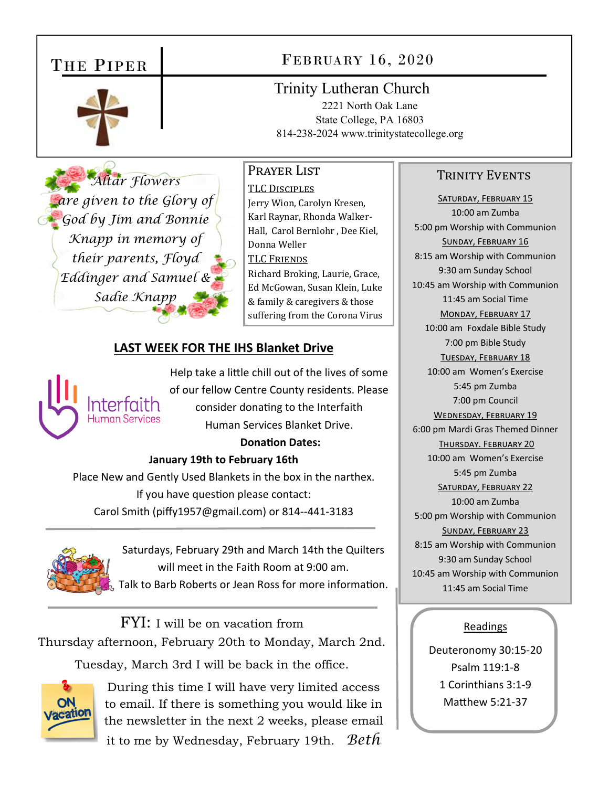# THE PIPER



# FEBRUARY 16, 2020

Trinity Lutheran Church

2221 North Oak Lane State College, PA 16803 814-238-2024 www.trinitystatecollege.org

#### PRAYER LIST

*Altar Flowers are given to the Glory of God by Jim and Bonnie Knapp in memory of their parents, Floyd Eddinger and Samuel & Sadie Knapp* 

TLC DISCIPLES Jerry Wion, Carolyn Kresen, Karl Raynar, Rhonda Walker-Hall, Carol Bernlohr , Dee Kiel, Donna Weller TLC FRIENDS Richard Broking, Laurie, Grace, Ed McGowan, Susan Klein, Luke & family & caregivers & those suffering from the Corona Virus

## **LAST WEEK FOR THE IHS Blanket Drive**



Help take a little chill out of the lives of some of our fellow Centre County residents. Please consider donating to the Interfaith Human Services Blanket Drive.

### **DonaƟon Dates:**

#### **January 19th to February 16th**

Place New and Gently Used Blankets in the box in the narthex. If you have question please contact: Carol Smith (piffy1957@gmail.com) or 814‐‐441‐3183



Saturdays, February 29th and March 14th the Quilters will meet in the Faith Room at 9:00 am. Talk to Barb Roberts or Jean Ross for more information.

FYI: I will be on vacation from Thursday afternoon, February 20th to Monday, March 2nd. Tuesday, March 3rd I will be back in the office.



During this time I will have very limited access to email. If there is something you would like in the newsletter in the next 2 weeks, please email it to me by Wednesday, February 19th. *Beth* 

#### TRINITY EVENTS

SATURDAY, FEBRUARY 15 10:00 am Zumba 5:00 pm Worship with Communion SUNDAY, FEBRUARY 16 8:15 am Worship with Communion 9:30 am Sunday School 10:45 am Worship with Communion 11:45 am Social Time MONDAY, FEBRUARY 17 10:00 am Foxdale Bible Study 7:00 pm Bible Study TUESDAY, FEBRUARY 18 10:00 am Women's Exercise 5:45 pm Zumba 7:00 pm Council WEDNESDAY, FEBRUARY 19 6:00 pm Mardi Gras Themed Dinner THURSDAY. FEBRUARY 20 10:00 am Women's Exercise 5:45 pm Zumba SATURDAY, FEBRUARY 22 10:00 am Zumba 5:00 pm Worship with Communion SUNDAY, FEBRUARY 23 8:15 am Worship with Communion 9:30 am Sunday School 10:45 am Worship with Communion 11:45 am Social Time

#### Readings

Deuteronomy 30:15‐20 Psalm 119:1‐8 1 Corinthians 3:1‐9 Matthew 5:21-37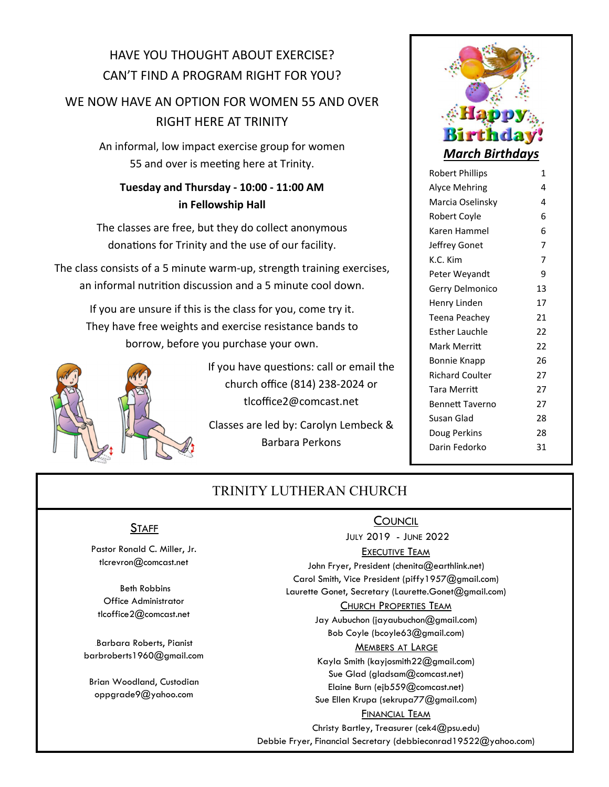# HAVE YOU THOUGHT ABOUT EXERCISE? CAN'T FIND A PROGRAM RIGHT FOR YOU?

## WE NOW HAVE AN OPTION FOR WOMEN 55 AND OVER RIGHT HERE AT TRINITY

An informal, low impact exercise group for women 55 and over is meeting here at Trinity.

## **Tuesday and Thursday ‐ 10:00 ‐ 11:00 AM in Fellowship Hall**

The classes are free, but they do collect anonymous donations for Trinity and the use of our facility.

The class consists of a 5 minute warm‐up, strength training exercises, an informal nutrition discussion and a 5 minute cool down.

If you are unsure if this is the class for you, come try it. They have free weights and exercise resistance bands to borrow, before you purchase your own.



If you have questions: call or email the church office (814) 238‐2024 or tlcoffice2@comcast.net

Classes are led by: Carolyn Lembeck & Barbara Perkons



| Robert Phillips        | 1              |
|------------------------|----------------|
| <b>Alyce Mehring</b>   | 4              |
| Marcia Oselinsky       | 4              |
| Robert Coyle           | 6              |
| Karen Hammel           | 6              |
| Jeffrey Gonet          | 7              |
| K.C. Kim               | $\overline{7}$ |
| Peter Weyandt          | 9              |
| Gerry Delmonico        | 13             |
| Henry Linden           | 17             |
| Teena Peachey          | 21             |
| Esther Lauchle         | 22             |
| Mark Merritt           | 22             |
| Bonnie Knapp           | 26             |
| <b>Richard Coulter</b> | 27             |
| <b>Tara Merritt</b>    | 27             |
| <b>Bennett Taverno</b> | 27             |
| Susan Glad             | 28             |
| Doug Perkins           | 28             |
| Darin Fedorko          | 31             |
|                        |                |

## TRINITY LUTHERAN CHURCH

## **STAFF**

Pastor Ronald C. Miller, Jr. tlcrevron@comcast.net

 Beth Robbins Office Administrator tlcoffice2@comcast.net

Barbara Roberts, Pianist barbroberts1960@gmail.com

Brian Woodland, Custodian oppgrade9@yahoo.com

## **COUNCIL**

JULY 2019 - JUNE 2022

#### EXECUTIVE TEAM

John Fryer, President (chenita@earthlink.net) Carol Smith, Vice President (piffy1957@gmail.com) Laurette Gonet, Secretary (Laurette.Gonet@gmail.com)

#### CHURCH PROPERTIES TEAM

Jay Aubuchon (jayaubuchon@gmail.com) Bob Coyle (bcoyle63@gmail.com)

#### MEMBERS AT LARGE

Kayla Smith (kayjosmith22@gmail.com) Sue Glad (gladsam@comcast.net) Elaine Burn (ejb559@comcast.net) Sue Ellen Krupa (sekrupa77@gmail.com)

#### **FINANCIAL TEAM**

Christy Bartley, Treasurer (cek4@psu.edu) Debbie Fryer, Financial Secretary (debbieconrad19522@yahoo.com)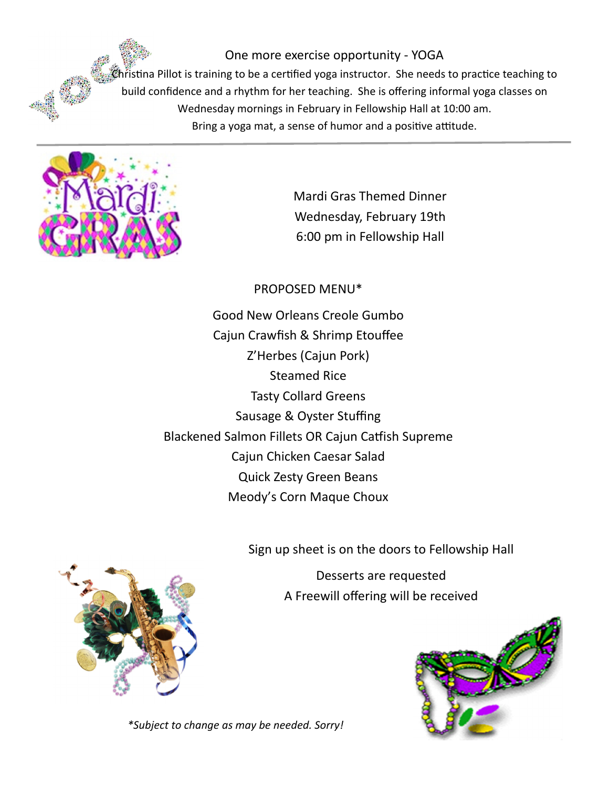One more exercise opportunity ‐ YOGA  $\mathcal G$ hristina Pillot is training to be a certified yoga instructor. She needs to practice teaching to build confidence and a rhythm for her teaching. She is offering informal yoga classes on Wednesday mornings in February in Fellowship Hall at 10:00 am. Bring a yoga mat, a sense of humor and a positive attitude.



Mardi Gras Themed Dinner Wednesday, February 19th 6:00 pm in Fellowship Hall

PROPOSED MENU\*

Good New Orleans Creole Gumbo Cajun Crawfish & Shrimp Etouffee Z'Herbes (Cajun Pork) Steamed Rice Tasty Collard Greens Sausage & Oyster Stuffing Blackened Salmon Fillets OR Cajun Catfish Supreme Cajun Chicken Caesar Salad Quick Zesty Green Beans Meody's Corn Maque Choux

Sign up sheet is on the doors to Fellowship Hall

Desserts are requested A Freewill offering will be received





*\*Subject to change as may be needed. Sorry!*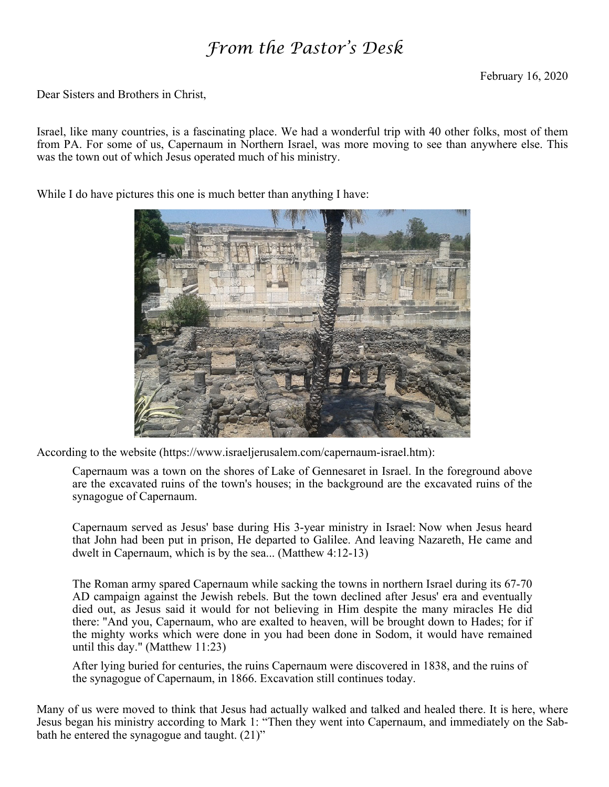# *From the Pastor's Desk*

Dear Sisters and Brothers in Christ,

Israel, like many countries, is a fascinating place. We had a wonderful trip with 40 other folks, most of them from PA. For some of us, Capernaum in Northern Israel, was more moving to see than anywhere else. This was the town out of which Jesus operated much of his ministry.

While I do have pictures this one is much better than anything I have:



According to the website (https://www.israeljerusalem.com/capernaum-israel.htm):

Capernaum was a town on the shores of Lake of Gennesaret in Israel. In the foreground above are the excavated ruins of the town's houses; in the background are the excavated ruins of the synagogue of Capernaum.

Capernaum served as Jesus' base during His 3-year ministry in Israel: Now when Jesus heard that John had been put in prison, He departed to Galilee. And leaving Nazareth, He came and dwelt in Capernaum, which is by the sea... (Matthew 4:12-13)

The Roman army spared Capernaum while sacking the towns in northern Israel during its 67-70 AD campaign against the Jewish rebels. But the town declined after Jesus' era and eventually died out, as Jesus said it would for not believing in Him despite the many miracles He did there: "And you, Capernaum, who are exalted to heaven, will be brought down to Hades; for if the mighty works which were done in you had been done in Sodom, it would have remained until this day." (Matthew 11:23)

After lying buried for centuries, the ruins Capernaum were discovered in 1838, and the ruins of the synagogue of Capernaum, in 1866. Excavation still continues today.

Many of us were moved to think that Jesus had actually walked and talked and healed there. It is here, where Jesus began his ministry according to Mark 1: "Then they went into Capernaum, and immediately on the Sabbath he entered the synagogue and taught. (21)"